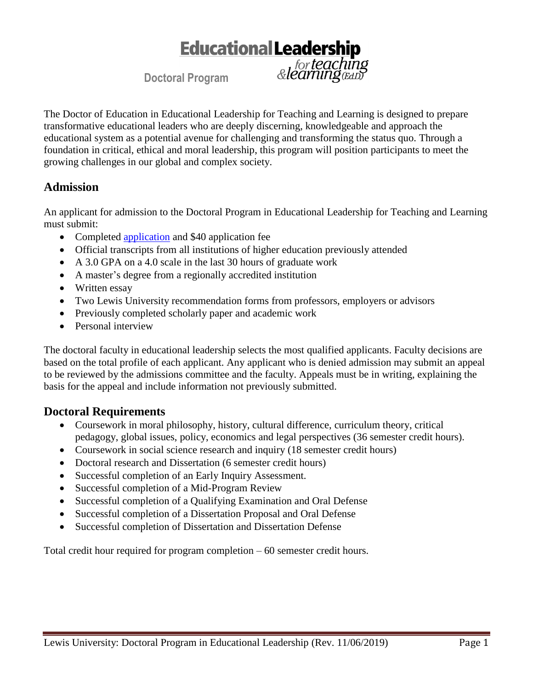# **Educational Leadership** for **teaching**<br>& **learning**

**Doctoral Program**

The Doctor of Education in Educational Leadership for Teaching and Learning is designed to prepare transformative educational leaders who are deeply discerning, knowledgeable and approach the educational system as a potential avenue for challenging and transforming the status quo. Through a foundation in critical, ethical and moral leadership, this program will position participants to meet the growing challenges in our global and complex society.

# **Admission**

An applicant for admission to the Doctoral Program in Educational Leadership for Teaching and Learning must submit:

- Completed [application](http://www.lewisu.edu/apply) and \$40 application fee
- Official transcripts from all institutions of higher education previously attended
- A 3.0 GPA on a 4.0 scale in the last 30 hours of graduate work
- A master's degree from a regionally accredited institution
- Written essay
- Two Lewis University recommendation forms from professors, employers or advisors
- Previously completed scholarly paper and academic work
- Personal interview

The doctoral faculty in educational leadership selects the most qualified applicants. Faculty decisions are based on the total profile of each applicant. Any applicant who is denied admission may submit an appeal to be reviewed by the admissions committee and the faculty. Appeals must be in writing, explaining the basis for the appeal and include information not previously submitted.

# **Doctoral Requirements**

- Coursework in moral philosophy, history, cultural difference, curriculum theory, critical pedagogy, global issues, policy, economics and legal perspectives (36 semester credit hours).
- Coursework in social science research and inquiry (18 semester credit hours)
- Doctoral research and Dissertation (6 semester credit hours)
- Successful completion of an Early Inquiry Assessment.
- Successful completion of a Mid-Program Review
- Successful completion of a Qualifying Examination and Oral Defense
- Successful completion of a Dissertation Proposal and Oral Defense
- Successful completion of Dissertation and Dissertation Defense

Total credit hour required for program completion – 60 semester credit hours.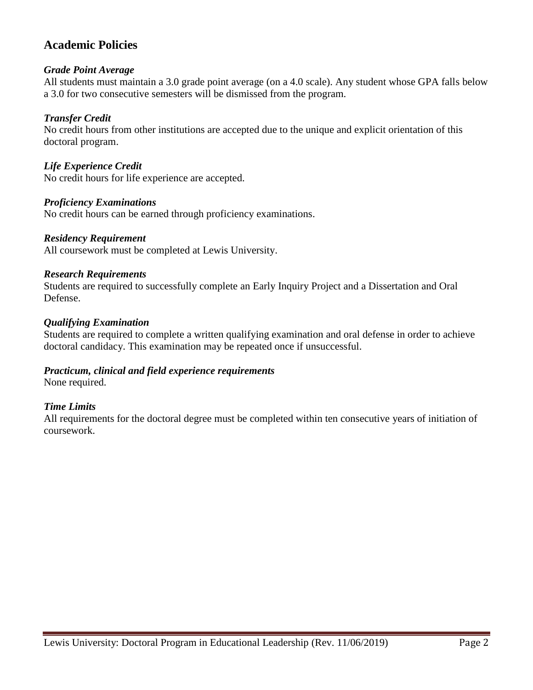# **Academic Policies**

# *Grade Point Average*

All students must maintain a 3.0 grade point average (on a 4.0 scale). Any student whose GPA falls below a 3.0 for two consecutive semesters will be dismissed from the program.

# *Transfer Credit*

No credit hours from other institutions are accepted due to the unique and explicit orientation of this doctoral program.

# *Life Experience Credit*

No credit hours for life experience are accepted.

## *Proficiency Examinations*

No credit hours can be earned through proficiency examinations.

#### *Residency Requirement*

All coursework must be completed at Lewis University.

## *Research Requirements*

Students are required to successfully complete an Early Inquiry Project and a Dissertation and Oral Defense.

## *Qualifying Examination*

Students are required to complete a written qualifying examination and oral defense in order to achieve doctoral candidacy. This examination may be repeated once if unsuccessful.

# *Practicum, clinical and field experience requirements*

None required.

# *Time Limits*

All requirements for the doctoral degree must be completed within ten consecutive years of initiation of coursework.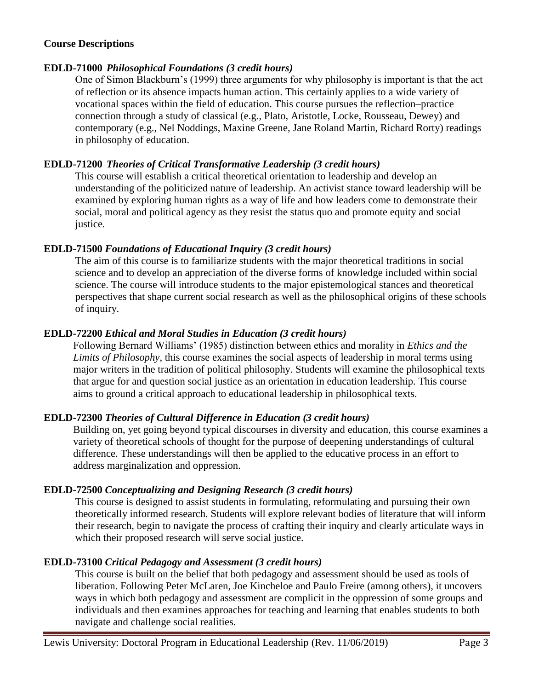## **Course Descriptions**

# **EDLD-71000** *Philosophical Foundations (3 credit hours)*

One of Simon Blackburn's (1999) three arguments for why philosophy is important is that the act of reflection or its absence impacts human action. This certainly applies to a wide variety of vocational spaces within the field of education. This course pursues the reflection–practice connection through a study of classical (e.g., Plato, Aristotle, Locke, Rousseau, Dewey) and contemporary (e.g., Nel Noddings, Maxine Greene, Jane Roland Martin, Richard Rorty) readings in philosophy of education.

# **EDLD-71200** *Theories of Critical Transformative Leadership (3 credit hours)*

This course will establish a critical theoretical orientation to leadership and develop an understanding of the politicized nature of leadership. An activist stance toward leadership will be examined by exploring human rights as a way of life and how leaders come to demonstrate their social, moral and political agency as they resist the status quo and promote equity and social justice.

## **EDLD-71500** *Foundations of Educational Inquiry (3 credit hours)*

The aim of this course is to familiarize students with the major theoretical traditions in social science and to develop an appreciation of the diverse forms of knowledge included within social science. The course will introduce students to the major epistemological stances and theoretical perspectives that shape current social research as well as the philosophical origins of these schools of inquiry.

## **EDLD-72200** *Ethical and Moral Studies in Education (3 credit hours)*

Following Bernard Williams' (1985) distinction between ethics and morality in *Ethics and the Limits of Philosophy*, this course examines the social aspects of leadership in moral terms using major writers in the tradition of political philosophy. Students will examine the philosophical texts that argue for and question social justice as an orientation in education leadership. This course aims to ground a critical approach to educational leadership in philosophical texts.

# **EDLD-72300** *Theories of Cultural Difference in Education (3 credit hours)*

Building on, yet going beyond typical discourses in diversity and education, this course examines a variety of theoretical schools of thought for the purpose of deepening understandings of cultural difference. These understandings will then be applied to the educative process in an effort to address marginalization and oppression.

#### **EDLD-72500** *Conceptualizing and Designing Research (3 credit hours)*

This course is designed to assist students in formulating, reformulating and pursuing their own theoretically informed research. Students will explore relevant bodies of literature that will inform their research, begin to navigate the process of crafting their inquiry and clearly articulate ways in which their proposed research will serve social justice.

# **EDLD-73100** *Critical Pedagogy and Assessment (3 credit hours)*

This course is built on the belief that both pedagogy and assessment should be used as tools of liberation. Following Peter McLaren, Joe Kincheloe and Paulo Freire (among others), it uncovers ways in which both pedagogy and assessment are complicit in the oppression of some groups and individuals and then examines approaches for teaching and learning that enables students to both navigate and challenge social realities.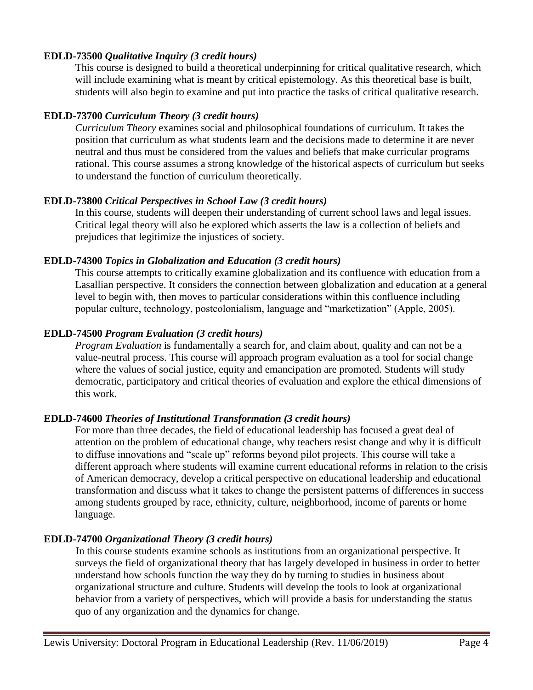## **EDLD-73500** *Qualitative Inquiry (3 credit hours)*

This course is designed to build a theoretical underpinning for critical qualitative research, which will include examining what is meant by critical epistemology. As this theoretical base is built, students will also begin to examine and put into practice the tasks of critical qualitative research.

# **EDLD-73700** *Curriculum Theory (3 credit hours)*

*Curriculum Theory* examines social and philosophical foundations of curriculum. It takes the position that curriculum as what students learn and the decisions made to determine it are never neutral and thus must be considered from the values and beliefs that make curricular programs rational. This course assumes a strong knowledge of the historical aspects of curriculum but seeks to understand the function of curriculum theoretically.

## **EDLD-73800** *Critical Perspectives in School Law (3 credit hours)*

In this course, students will deepen their understanding of current school laws and legal issues. Critical legal theory will also be explored which asserts the law is a collection of beliefs and prejudices that legitimize the injustices of society.

## **EDLD-74300** *Topics in Globalization and Education (3 credit hours)*

This course attempts to critically examine globalization and its confluence with education from a Lasallian perspective. It considers the connection between globalization and education at a general level to begin with, then moves to particular considerations within this confluence including popular culture, technology, postcolonialism, language and "marketization" (Apple, 2005).

## **EDLD-74500** *Program Evaluation (3 credit hours)*

*Program Evaluation* is fundamentally a search for, and claim about, quality and can not be a value-neutral process. This course will approach program evaluation as a tool for social change where the values of social justice, equity and emancipation are promoted. Students will study democratic, participatory and critical theories of evaluation and explore the ethical dimensions of this work.

# **EDLD-74600** *Theories of Institutional Transformation (3 credit hours)*

For more than three decades, the field of educational leadership has focused a great deal of attention on the problem of educational change, why teachers resist change and why it is difficult to diffuse innovations and "scale up" reforms beyond pilot projects. This course will take a different approach where students will examine current educational reforms in relation to the crisis of American democracy, develop a critical perspective on educational leadership and educational transformation and discuss what it takes to change the persistent patterns of differences in success among students grouped by race, ethnicity, culture, neighborhood, income of parents or home language.

# **EDLD-74700** *Organizational Theory (3 credit hours)*

In this course students examine schools as institutions from an organizational perspective. It surveys the field of organizational theory that has largely developed in business in order to better understand how schools function the way they do by turning to studies in business about organizational structure and culture. Students will develop the tools to look at organizational behavior from a variety of perspectives, which will provide a basis for understanding the status quo of any organization and the dynamics for change.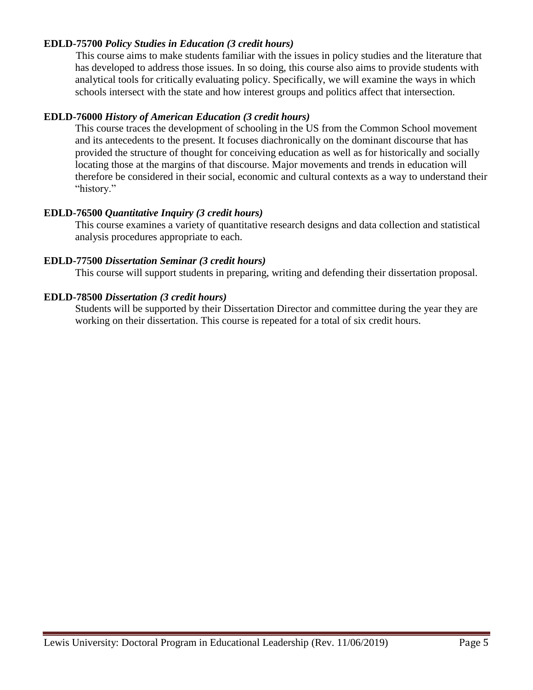# **EDLD-75700** *Policy Studies in Education (3 credit hours)*

This course aims to make students familiar with the issues in policy studies and the literature that has developed to address those issues. In so doing, this course also aims to provide students with analytical tools for critically evaluating policy. Specifically, we will examine the ways in which schools intersect with the state and how interest groups and politics affect that intersection.

## **EDLD-76000** *History of American Education (3 credit hours)*

This course traces the development of schooling in the US from the Common School movement and its antecedents to the present. It focuses diachronically on the dominant discourse that has provided the structure of thought for conceiving education as well as for historically and socially locating those at the margins of that discourse. Major movements and trends in education will therefore be considered in their social, economic and cultural contexts as a way to understand their "history."

## **EDLD-76500** *Quantitative Inquiry (3 credit hours)*

This course examines a variety of quantitative research designs and data collection and statistical analysis procedures appropriate to each.

#### **EDLD-77500** *Dissertation Seminar (3 credit hours)*

This course will support students in preparing, writing and defending their dissertation proposal.

## **EDLD-78500** *Dissertation (3 credit hours)*

Students will be supported by their Dissertation Director and committee during the year they are working on their dissertation. This course is repeated for a total of six credit hours.